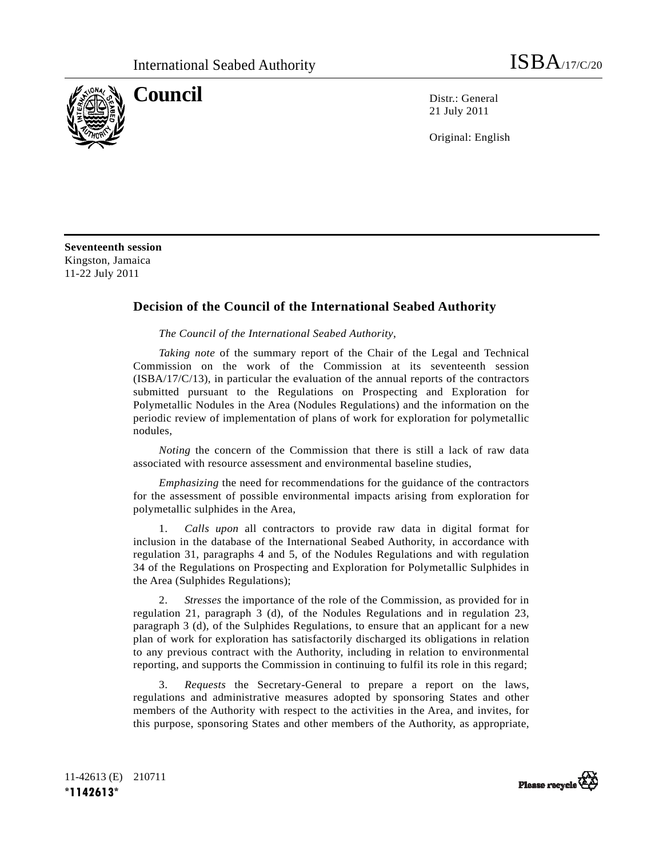

**Council** Distribution Distribution Distribution Distribution Distribution Distribution Distribution Distribution Distribution Distribution Distribution Distribution Distribution Distribution Distribution Distribution Dist 21 July 2011

Original: English

**Seventeenth session**  Kingston, Jamaica 11-22 July 2011

## **Decision of the Council of the International Seabed Authority**

*The Council of the International Seabed Authority*,

*Taking note* of the summary report of the Chair of the Legal and Technical Commission on the work of the Commission at its seventeenth session (ISBA/17/C/13), in particular the evaluation of the annual reports of the contractors submitted pursuant to the Regulations on Prospecting and Exploration for Polymetallic Nodules in the Area (Nodules Regulations) and the information on the periodic review of implementation of plans of work for exploration for polymetallic nodules,

*Noting* the concern of the Commission that there is still a lack of raw data associated with resource assessment and environmental baseline studies,

*Emphasizing* the need for recommendations for the guidance of the contractors for the assessment of possible environmental impacts arising from exploration for polymetallic sulphides in the Area,

 1. *Calls upon* all contractors to provide raw data in digital format for inclusion in the database of the International Seabed Authority, in accordance with regulation 31, paragraphs 4 and 5, of the Nodules Regulations and with regulation 34 of the Regulations on Prospecting and Exploration for Polymetallic Sulphides in the Area (Sulphides Regulations);

 2. *Stresses* the importance of the role of the Commission, as provided for in regulation 21, paragraph 3 (d), of the Nodules Regulations and in regulation 23, paragraph 3 (d), of the Sulphides Regulations, to ensure that an applicant for a new plan of work for exploration has satisfactorily discharged its obligations in relation to any previous contract with the Authority, including in relation to environmental reporting, and supports the Commission in continuing to fulfil its role in this regard;

 3. *Requests* the Secretary-General to prepare a report on the laws, regulations and administrative measures adopted by sponsoring States and other members of the Authority with respect to the activities in the Area, and invites, for this purpose, sponsoring States and other members of the Authority, as appropriate,